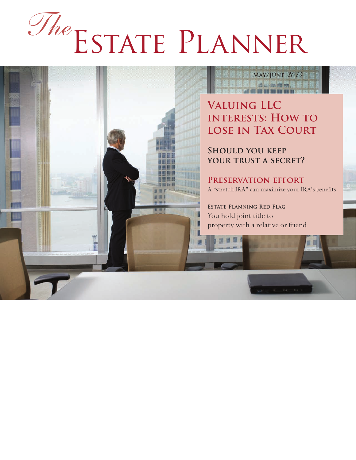# Estate Planner *The*

### **May/June** *2014* **ALL ALBERT**

**Valuing LLC interests: How to lose in Tax Court**

**Should you keep your trust a secret?**

**Preservation effort** A "stretch IRA" can maximize your IRA's benefits

**Estate Planning Red Flag** You hold joint title to property with a relative or friend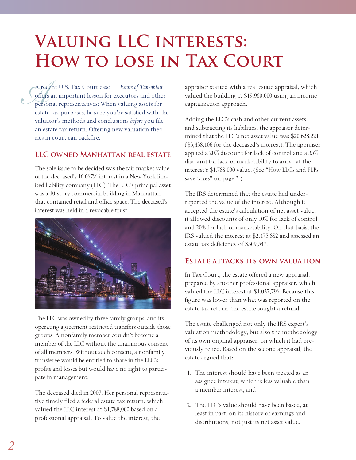# **Valuing LLC interests: How to lose in Tax Court**

A record A recent U.S. Tax Court case — *Estate of Tanenblatt* offers an important lesson for executors and other personal representatives: When valuing assets for estate tax purposes, be sure you're satisfied with the valuator's methods and conclusions *before* you file an estate tax return. Offering new valuation theories in court can backfire.

#### **LLC owned Manhattan real estate**

The sole issue to be decided was the fair market value of the deceased's 16.667% interest in a New York limited liability company (LLC). The LLC's principal asset was a 10-story commercial building in Manhattan that contained retail and office space. The deceased's interest was held in a revocable trust.



The LLC was owned by three family groups, and its operating agreement restricted transfers outside those groups. A nonfamily member couldn't become a member of the LLC without the unanimous consent of all members. Without such consent, a nonfamily transferee would be entitled to share in the LLC's profits and losses but would have no right to participate in management.

The deceased died in 2007. Her personal representative timely filed a federal estate tax return, which valued the LLC interest at \$1,788,000 based on a professional appraisal. To value the interest, the

appraiser started with a real estate appraisal, which valued the building at \$19,960,000 using an income capitalization approach.

Adding the LLC's cash and other current assets and subtracting its liabilities, the appraiser determined that the LLC's net asset value was \$20,628,221 (\$3,438,106 for the deceased's interest). The appraiser applied a 20% discount for lack of control and a 35% discount for lack of marketability to arrive at the interest's \$1,788,000 value. (See "How LLCs and FLPs save taxes" on page 3.)

The IRS determined that the estate had underreported the value of the interest. Although it accepted the estate's calculation of net asset value, it allowed discounts of only 10% for lack of control and 20% for lack of marketability. On that basis, the IRS valued the interest at \$2,475,882 and assessed an estate tax deficiency of \$309,547.

#### **Estate attacks its own valuation**

In Tax Court, the estate offered a new appraisal, prepared by another professional appraiser, which valued the LLC interest at \$1,037,796. Because this figure was lower than what was reported on the estate tax return, the estate sought a refund.

The estate challenged not only the IRS expert's valuation methodology, but also the methodology of its own original appraiser, on which it had previously relied. Based on the second appraisal, the estate argued that:

- 1. The interest should have been treated as an assignee interest, which is less valuable than a member interest, and
- 2. The LLC's value should have been based, at least in part, on its history of earnings and distributions, not just its net asset value.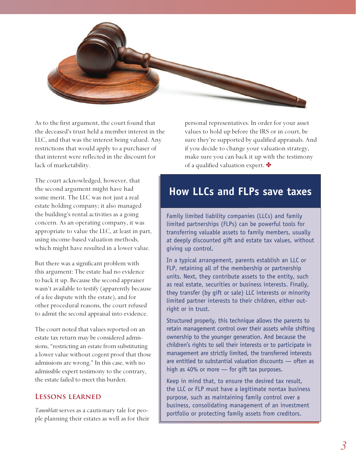

As to the first argument, the court found that the deceased's trust held a member interest in the LLC, and that was the interest being valued. Any restrictions that would apply to a purchaser of that interest were reflected in the discount for lack of marketability.

The court acknowledged, however, that the second argument might have had some merit. The LLC was not just a real estate holding company; it also managed the building's rental activities as a going concern. As an operating company, it was appropriate to value the LLC, at least in part, using income-based valuation methods, which might have resulted in a lower value.

But there was a significant problem with this argument: The estate had no evidence to back it up. Because the second appraiser wasn't available to testify (apparently because of a fee dispute with the estate), and for other procedural reasons, the court refused to admit the second appraisal into evidence.

The court noted that values reported on an estate tax return may be considered admissions, "restricting an estate from substituting a lower value without cogent proof that those admissions are wrong." In this case, with no admissible expert testimony to the contrary, the estate failed to meet this burden.

#### **Lessons learned**

*Tanenblatt* serves as a cautionary tale for people planning their estates as well as for their personal representatives. In order for your asset values to hold up before the IRS or in court, be sure they're supported by qualified appraisals. And if you decide to change your valuation strategy, make sure you can back it up with the testimony of a qualified valuation expert.  $\bullet$ 

## **How LLCs and FLPs save taxes**

Family limited liability companies (LLCs) and family limited partnerships (FLPs) can be powerful tools for transferring valuable assets to family members, usually at deeply discounted gift and estate tax values, without giving up control.

In a typical arrangement, parents establish an LLC or FLP, retaining all of the membership or partnership units. Next, they contribute assets to the entity, such as real estate, securities or business interests. Finally, they transfer (by gift or sale) LLC interests or minority limited partner interests to their children, either outright or in trust.

Structured properly, this technique allows the parents to retain management control over their assets while shifting ownership to the younger generation. And because the children's rights to sell their interests or to participate in management are strictly limited, the transferred interests are entitled to substantial valuation discounts — often as high as 40% or more — for gift tax purposes.

Keep in mind that, to ensure the desired tax result, the LLC or FLP must have a legitimate nontax business purpose, such as maintaining family control over a business, consolidating management of an investment portfolio or protecting family assets from creditors.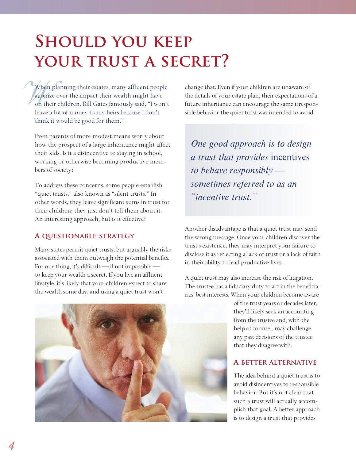# **SHOULD YOU KEEP** YOUR TRUST A SECRET?

When<br>agoniz<br>on the When planning their estates, many affluent people agonize over the impact their wealth might have on their children. Bill Gates famously said, "I won't leave a lot of money to my heirs because I don't think it would be good for them."

Even parents of more modest means worry about how the prospect of a large inheritance might affect their kids. Is it a disincentive to staying in school, working or otherwise becoming productive members of society?

To address these concerns, some people establish "quiet trusts," also known as "silent trusts." In other words, they leave significant sums in trust for their children; they just don't tell them about it. An interesting approach, but is it effective?

#### **A questionable strategy**

Many states permit quiet trusts, but arguably the risks associated with them outweigh the potential benefits. For one thing, it's difficult — if not impossible to keep your wealth a secret. If you live an affluent lifestyle, it's likely that your children expect to share the wealth some day, and using a quiet trust won't

change that. Even if your children are unaware of the details of your estate plan, their expectations of a future inheritance can encourage the same irresponsible behavior the quiet trust was intended to avoid.

*One good approach is to design a trust that provides* incentives *to behave responsibly sometimes referred to as an "incentive trust."*

Another disadvantage is that a quiet trust may send the wrong message. Once your children discover the trust's existence, they may interpret your failure to disclose it as reflecting a lack of trust or a lack of faith in their ability to lead productive lives.

A quiet trust may also increase the risk of litigation. The trustee has a fiduciary duty to act in the beneficiaries' best interests. When your children become aware



of the trust years or decades later, they'll likely seek an accounting from the trustee and, with the help of counsel, may challenge any past decisions of the trustee that they disagree with.

#### **A better alternative**

The idea behind a quiet trust is to avoid disincentives to responsible behavior. But it's not clear that such a trust will actually accomplish that goal. A better approach is to design a trust that provides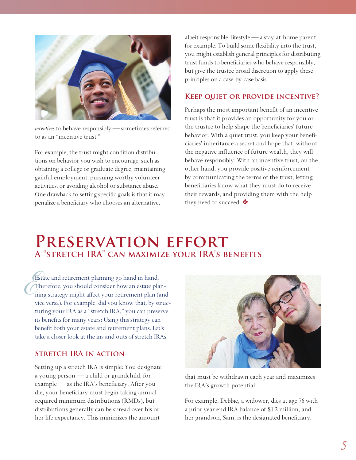

*incentives* to behave responsibly — sometimes referred to as an "incentive trust."

For example, the trust might condition distributions on behavior you wish to encourage, such as obtaining a college or graduate degree, maintaining gainful employment, pursuing worthy volunteer activities, or avoiding alcohol or substance abuse. One drawback to setting specific goals is that it may penalize a beneficiary who chooses an alternative,

albeit responsible, lifestyle — a stay-at-home parent, for example. To build some flexibility into the trust, you might establish general principles for distributing trust funds to beneficiaries who behave responsibly, but give the trustee broad discretion to apply these principles on a case-by-case basis.

#### **Keep quiet or provide incentive?**

Perhaps the most important benefit of an incentive trust is that it provides an opportunity for you or the trustee to help shape the beneficiaries' future behavior. With a quiet trust, you keep your beneficiaries' inheritance a secret and hope that, without the negative influence of future wealth, they will behave responsibly. With an incentive trust, on the other hand, you provide positive reinforcement by communicating the terms of the trust, letting beneficiaries know what they must do to receive their rewards, and providing them with the help they need to succeed.  $\bullet$ 

## **Preservation effort A "stretch IRA" can maximize your IRA's benefits**

 $C_{ni}^{\text{E}}$ Estate and retirement planning go hand in hand. Therefore, you should consider how an estate planning strategy might affect your retirement plan (and vice versa). For example, did you know that, by structuring your IRA as a "stretch IRA," you can preserve its benefits for many years? Using this strategy can benefit both your estate and retirement plans. Let's take a closer look at the ins and outs of stretch IRAs.

#### **Stretch IRA in action**

Setting up a stretch IRA is simple: You designate a young person — a child or grandchild, for example — as the IRA's beneficiary. After you die, your beneficiary must begin taking annual required minimum distributions (RMDs), but distributions generally can be spread over his or her life expectancy. This minimizes the amount



that must be withdrawn each year and maximizes the IRA's growth potential.

For example, Debbie, a widower, dies at age 76 with a prior year end IRA balance of \$1.2 million, and her grandson, Sam, is the designated beneficiary.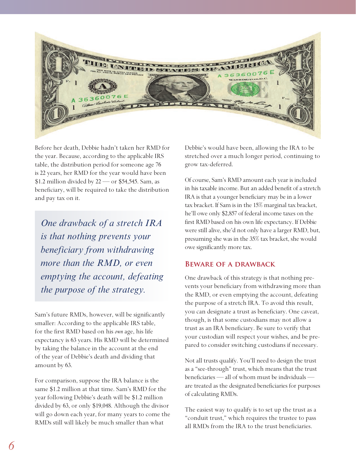

Before her death, Debbie hadn't taken her RMD for the year. Because, according to the applicable IRS table, the distribution period for someone age 76 is 22 years, her RMD for the year would have been \$1.2 million divided by 22 — or \$54,545. Sam, as beneficiary, will be required to take the distribution and pay tax on it.

*One drawback of a stretch IRA is that nothing prevents your beneficiary from withdrawing more than the RMD, or even emptying the account, defeating the purpose of the strategy.*

Sam's future RMDs, however, will be significantly smaller: According to the applicable IRS table, for the first RMD based on his *own* age, his life expectancy is 63 years. His RMD will be determined by taking the balance in the account at the end of the year of Debbie's death and dividing that amount by 63.

For comparison, suppose the IRA balance is the same \$1.2 million at that time. Sam's RMD for the year following Debbie's death will be \$1.2 million divided by 63, or only \$19,048. Although the divisor will go down each year, for many years to come the RMDs still will likely be much smaller than what

Debbie's would have been, allowing the IRA to be stretched over a much longer period, continuing to grow tax-deferred.

Of course, Sam's RMD amount each year is included in his taxable income. But an added benefit of a stretch IRA is that a younger beneficiary may be in a lower tax bracket. If Sam is in the 15% marginal tax bracket, he'll owe only \$2,857 of federal income taxes on the first RMD based on his own life expectancy. If Debbie were still alive, she'd not only have a larger RMD, but, presuming she was in the 35% tax bracket, she would owe significantly more tax.

#### **Beware of a drawback**

One drawback of this strategy is that nothing prevents your beneficiary from withdrawing more than the RMD, or even emptying the account, defeating the purpose of a stretch IRA. To avoid this result, you can designate a trust as beneficiary. One caveat, though, is that some custodians may not allow a trust as an IRA beneficiary. Be sure to verify that your custodian will respect your wishes, and be prepared to consider switching custodians if necessary.

Not all trusts qualify. You'll need to design the trust as a "see-through" trust, which means that the trust beneficiaries — all of whom must be individuals are treated as the designated beneficiaries for purposes of calculating RMDs.

The easiest way to qualify is to set up the trust as a "conduit trust," which requires the trustee to pass all RMDs from the IRA to the trust beneficiaries.